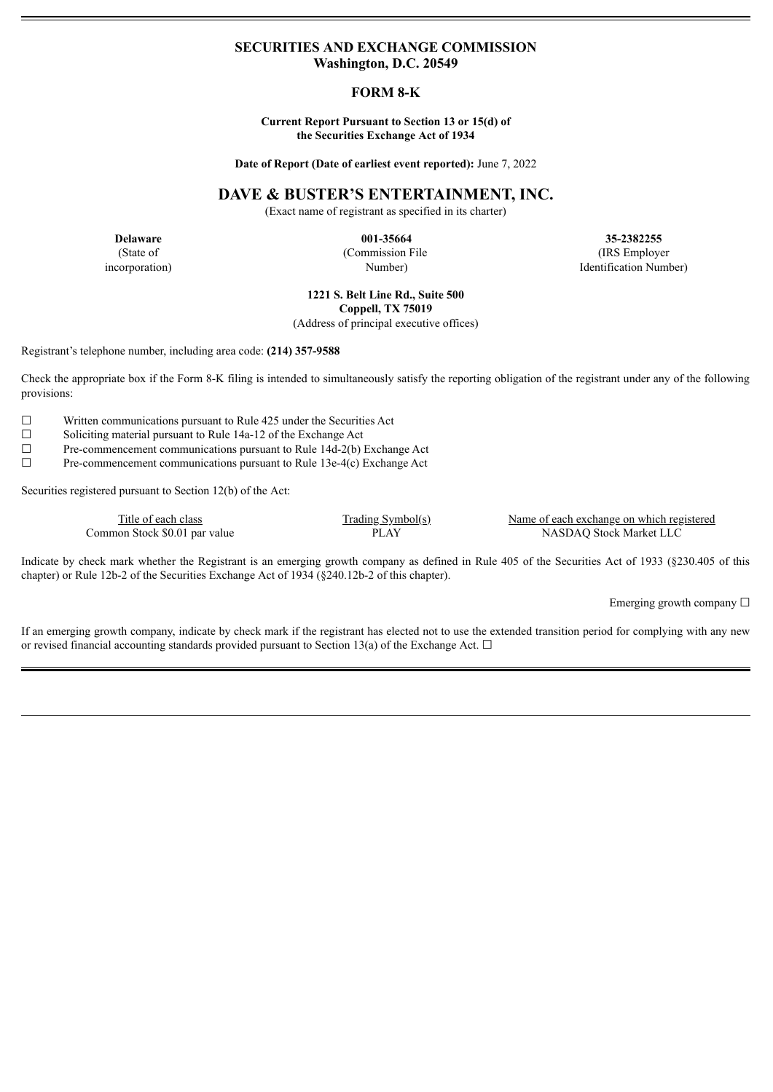# **SECURITIES AND EXCHANGE COMMISSION Washington, D.C. 20549**

# **FORM 8-K**

## **Current Report Pursuant to Section 13 or 15(d) of the Securities Exchange Act of 1934**

**Date of Report (Date of earliest event reported):** June 7, 2022

# **DAVE & BUSTER'S ENTERTAINMENT, INC.**

(Exact name of registrant as specified in its charter)

(State of incorporation) (Commission File Number)

**Delaware 001-35664 35-2382255** (IRS Employer Identification Number)

> **1221 S. Belt Line Rd., Suite 500 Coppell, TX 75019**

(Address of principal executive offices)

Registrant's telephone number, including area code: **(214) 357-9588**

Check the appropriate box if the Form 8-K filing is intended to simultaneously satisfy the reporting obligation of the registrant under any of the following provisions:

 $\Box$  Written communications pursuant to Rule 425 under the Securities Act  $\Box$  Soliciting material pursuant to Rule 14a-12 of the Exchange Act

Soliciting material pursuant to Rule 14a-12 of the Exchange Act

 $\Box$  Pre-commencement communications pursuant to Rule 14d-2(b) Exchange Act  $\Box$  Pre-commencement communications pursuant to Rule 13e-4(c) Exchange Act

Pre-commencement communications pursuant to Rule 13e-4(c) Exchange Act

Securities registered pursuant to Section 12(b) of the Act:

Common Stock \$0.01 par value

Trading Symbol(s) Name of each exchange on which registered<br>
Name of each exchange on which registered<br>
PLAY NASDAQ Stock Market LLC

Indicate by check mark whether the Registrant is an emerging growth company as defined in Rule 405 of the Securities Act of 1933 (§230.405 of this chapter) or Rule 12b-2 of the Securities Exchange Act of 1934 (§240.12b-2 of this chapter).

Emerging growth company  $\Box$ 

If an emerging growth company, indicate by check mark if the registrant has elected not to use the extended transition period for complying with any new or revised financial accounting standards provided pursuant to Section 13(a) of the Exchange Act.  $\Box$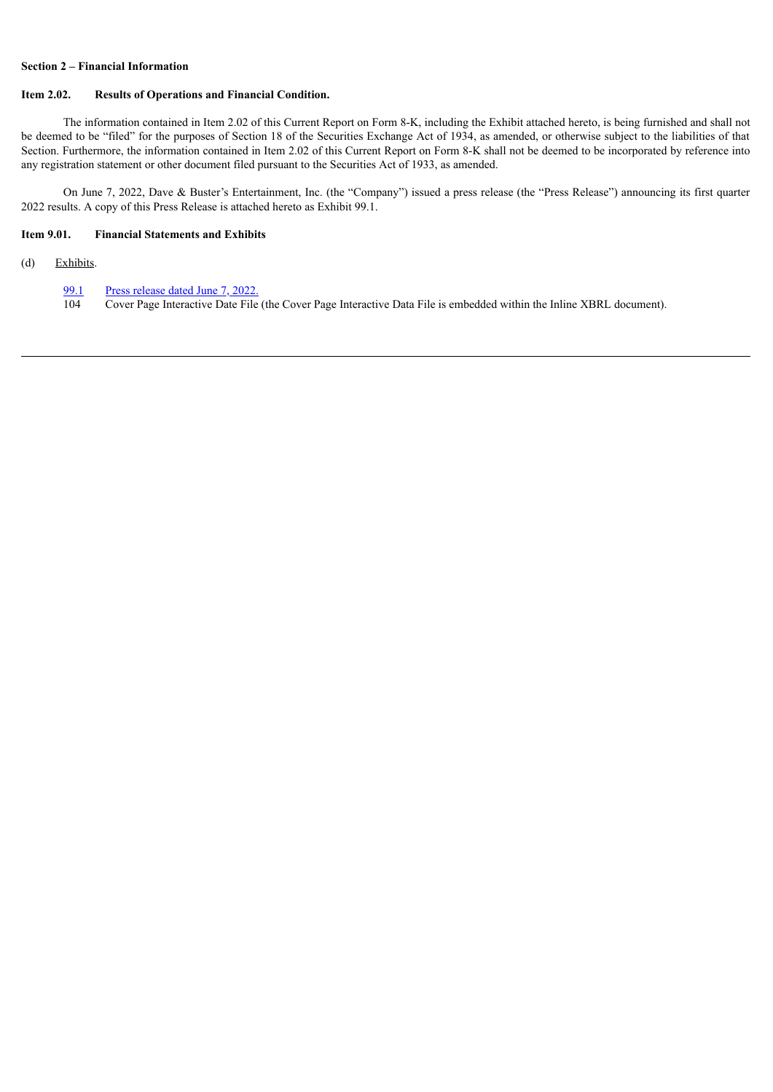# **Section 2 – Financial Information**

### **Item 2.02. Results of Operations and Financial Condition.**

The information contained in Item 2.02 of this Current Report on Form 8-K, including the Exhibit attached hereto, is being furnished and shall not be deemed to be "filed" for the purposes of Section 18 of the Securities Exchange Act of 1934, as amended, or otherwise subject to the liabilities of that Section. Furthermore, the information contained in Item 2.02 of this Current Report on Form 8-K shall not be deemed to be incorporated by reference into any registration statement or other document filed pursuant to the Securities Act of 1933, as amended.

On June 7, 2022, Dave & Buster's Entertainment, Inc. (the "Company") issued a press release (the "Press Release") announcing its first quarter 2022 results. A copy of this Press Release is attached hereto as Exhibit 99.1.

# **Item 9.01. Financial Statements and Exhibits**

(d) Exhibits.

[99.1](#page-3-0) Press [release](#page-3-0) dated June 7, 2022.<br>104 Cover Page Interactive Date File

104 Cover Page Interactive Date File (the Cover Page Interactive Data File is embedded within the Inline XBRL document).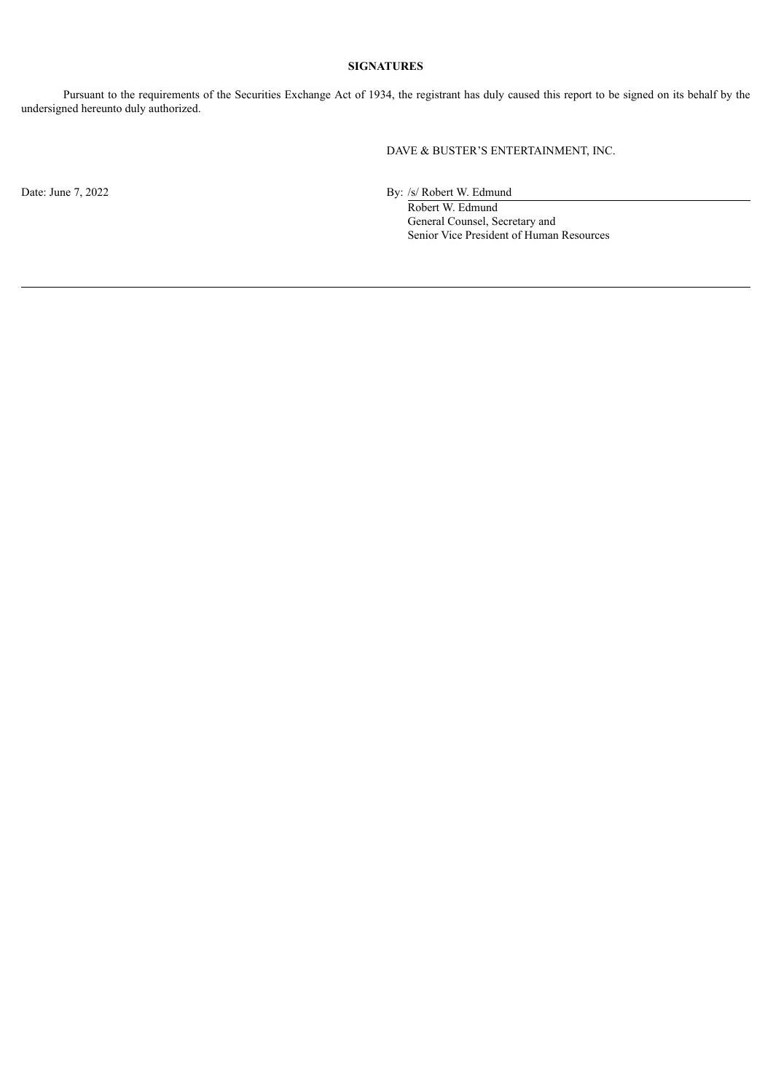# **SIGNATURES**

Pursuant to the requirements of the Securities Exchange Act of 1934, the registrant has duly caused this report to be signed on its behalf by the undersigned hereunto duly authorized.

DAVE & BUSTER'S ENTERTAINMENT, INC.

Date: June 7, 2022 By: /s/ Robert W. Edmund

Robert W. Edmund General Counsel, Secretary and Senior Vice President of Human Resources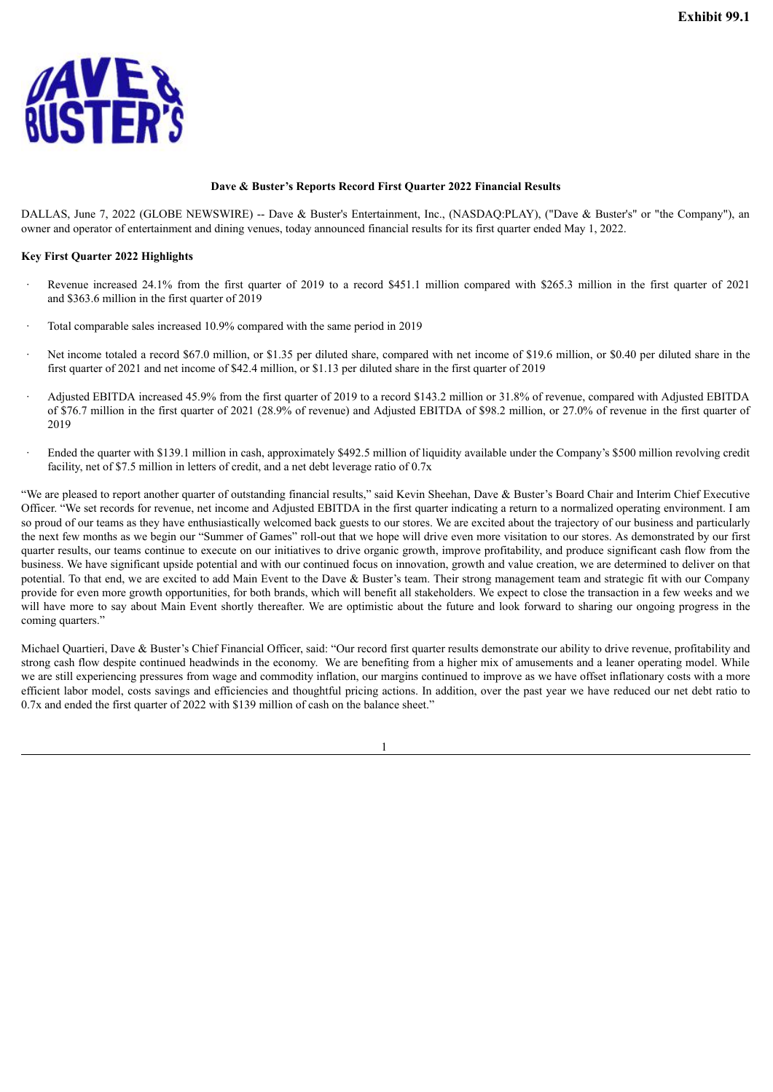<span id="page-3-0"></span>

### **Dave & Buster's Reports Record First Quarter 2022 Financial Results**

DALLAS, June 7, 2022 (GLOBE NEWSWIRE) -- Dave & Buster's Entertainment, Inc., (NASDAQ:PLAY), ("Dave & Buster's" or "the Company"), an owner and operator of entertainment and dining venues, today announced financial results for its first quarter ended May 1, 2022.

### **Key First Quarter 2022 Highlights**

- Revenue increased 24.1% from the first quarter of 2019 to a record \$451.1 million compared with \$265.3 million in the first quarter of 2021 and \$363.6 million in the first quarter of 2019
- Total comparable sales increased 10.9% compared with the same period in 2019
- Net income totaled a record \$67.0 million, or \$1.35 per diluted share, compared with net income of \$19.6 million, or \$0.40 per diluted share in the first quarter of 2021 and net income of \$42.4 million, or \$1.13 per diluted share in the first quarter of 2019
- · Adjusted EBITDA increased 45.9% from the first quarter of 2019 to a record \$143.2 million or 31.8% of revenue, compared with Adjusted EBITDA of \$76.7 million in the first quarter of 2021 (28.9% of revenue) and Adjusted EBITDA of \$98.2 million, or 27.0% of revenue in the first quarter of 2019
- Ended the quarter with \$139.1 million in cash, approximately \$492.5 million of liquidity available under the Company's \$500 million revolving credit facility, net of \$7.5 million in letters of credit, and a net debt leverage ratio of 0.7x

"We are pleased to report another quarter of outstanding financial results," said Kevin Sheehan, Dave & Buster's Board Chair and Interim Chief Executive Officer. "We set records for revenue, net income and Adjusted EBITDA in the first quarter indicating a return to a normalized operating environment. I am so proud of our teams as they have enthusiastically welcomed back guests to our stores. We are excited about the trajectory of our business and particularly the next few months as we begin our "Summer of Games" roll-out that we hope will drive even more visitation to our stores. As demonstrated by our first quarter results, our teams continue to execute on our initiatives to drive organic growth, improve profitability, and produce significant cash flow from the business. We have significant upside potential and with our continued focus on innovation, growth and value creation, we are determined to deliver on that potential. To that end, we are excited to add Main Event to the Dave & Buster's team. Their strong management team and strategic fit with our Company provide for even more growth opportunities, for both brands, which will benefit all stakeholders. We expect to close the transaction in a few weeks and we will have more to say about Main Event shortly thereafter. We are optimistic about the future and look forward to sharing our ongoing progress in the coming quarters."

Michael Quartieri, Dave & Buster's Chief Financial Officer, said: "Our record first quarter results demonstrate our ability to drive revenue, profitability and strong cash flow despite continued headwinds in the economy. We are benefiting from a higher mix of amusements and a leaner operating model. While we are still experiencing pressures from wage and commodity inflation, our margins continued to improve as we have offset inflationary costs with a more efficient labor model, costs savings and efficiencies and thoughtful pricing actions. In addition, over the past year we have reduced our net debt ratio to 0.7x and ended the first quarter of 2022 with \$139 million of cash on the balance sheet."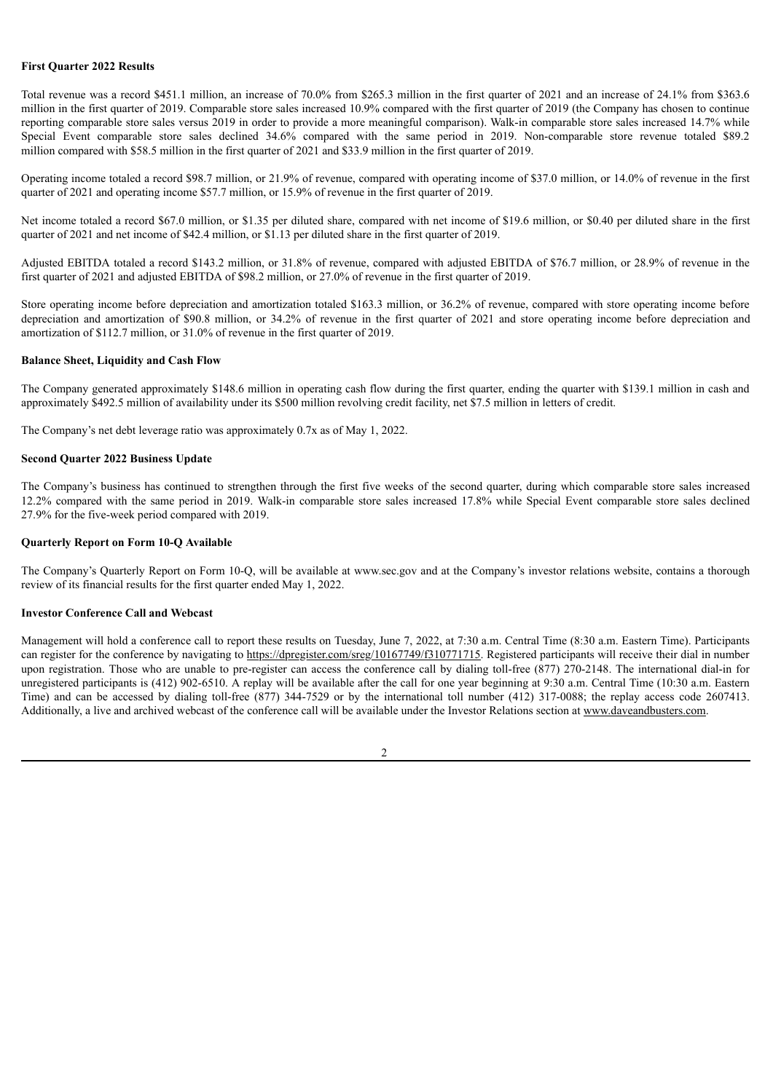### **First Quarter 2022 Results**

Total revenue was a record \$451.1 million, an increase of 70.0% from \$265.3 million in the first quarter of 2021 and an increase of 24.1% from \$363.6 million in the first quarter of 2019. Comparable store sales increased 10.9% compared with the first quarter of 2019 (the Company has chosen to continue reporting comparable store sales versus 2019 in order to provide a more meaningful comparison). Walk-in comparable store sales increased 14.7% while Special Event comparable store sales declined 34.6% compared with the same period in 2019. Non-comparable store revenue totaled \$89.2 million compared with \$58.5 million in the first quarter of 2021 and \$33.9 million in the first quarter of 2019.

Operating income totaled a record \$98.7 million, or 21.9% of revenue, compared with operating income of \$37.0 million, or 14.0% of revenue in the first quarter of 2021 and operating income \$57.7 million, or 15.9% of revenue in the first quarter of 2019.

Net income totaled a record \$67.0 million, or \$1.35 per diluted share, compared with net income of \$19.6 million, or \$0.40 per diluted share in the first quarter of 2021 and net income of \$42.4 million, or \$1.13 per diluted share in the first quarter of 2019.

Adjusted EBITDA totaled a record \$143.2 million, or 31.8% of revenue, compared with adjusted EBITDA of \$76.7 million, or 28.9% of revenue in the first quarter of 2021 and adjusted EBITDA of \$98.2 million, or 27.0% of revenue in the first quarter of 2019.

Store operating income before depreciation and amortization totaled \$163.3 million, or 36.2% of revenue, compared with store operating income before depreciation and amortization of \$90.8 million, or 34.2% of revenue in the first quarter of 2021 and store operating income before depreciation and amortization of \$112.7 million, or 31.0% of revenue in the first quarter of 2019.

## **Balance Sheet, Liquidity and Cash Flow**

The Company generated approximately \$148.6 million in operating cash flow during the first quarter, ending the quarter with \$139.1 million in cash and approximately \$492.5 million of availability under its \$500 million revolving credit facility, net \$7.5 million in letters of credit.

The Company's net debt leverage ratio was approximately 0.7x as of May 1, 2022.

## **Second Quarter 2022 Business Update**

The Company's business has continued to strengthen through the first five weeks of the second quarter, during which comparable store sales increased 12.2% compared with the same period in 2019. Walk-in comparable store sales increased 17.8% while Special Event comparable store sales declined 27.9% for the five-week period compared with 2019.

### **Quarterly Report on Form 10-Q Available**

The Company's Quarterly Report on Form 10-Q, will be available at www.sec.gov and at the Company's investor relations website, contains a thorough review of its financial results for the first quarter ended May 1, 2022.

## **Investor Conference Call and Webcast**

Management will hold a conference call to report these results on Tuesday, June 7, 2022, at 7:30 a.m. Central Time (8:30 a.m. Eastern Time). Participants can register for the conference by navigating to https://dpregister.com/sreg/10167749/f310771715. Registered participants will receive their dial in number upon registration. Those who are unable to pre-register can access the conference call by dialing toll-free (877) 270-2148. The international dial-in for unregistered participants is (412) 902-6510. A replay will be available after the call for one year beginning at 9:30 a.m. Central Time (10:30 a.m. Eastern Time) and can be accessed by dialing toll-free (877) 344-7529 or by the international toll number (412) 317-0088; the replay access code 2607413. Additionally, a live and archived webcast of the conference call will be available under the Investor Relations section at www.daveandbusters.com.

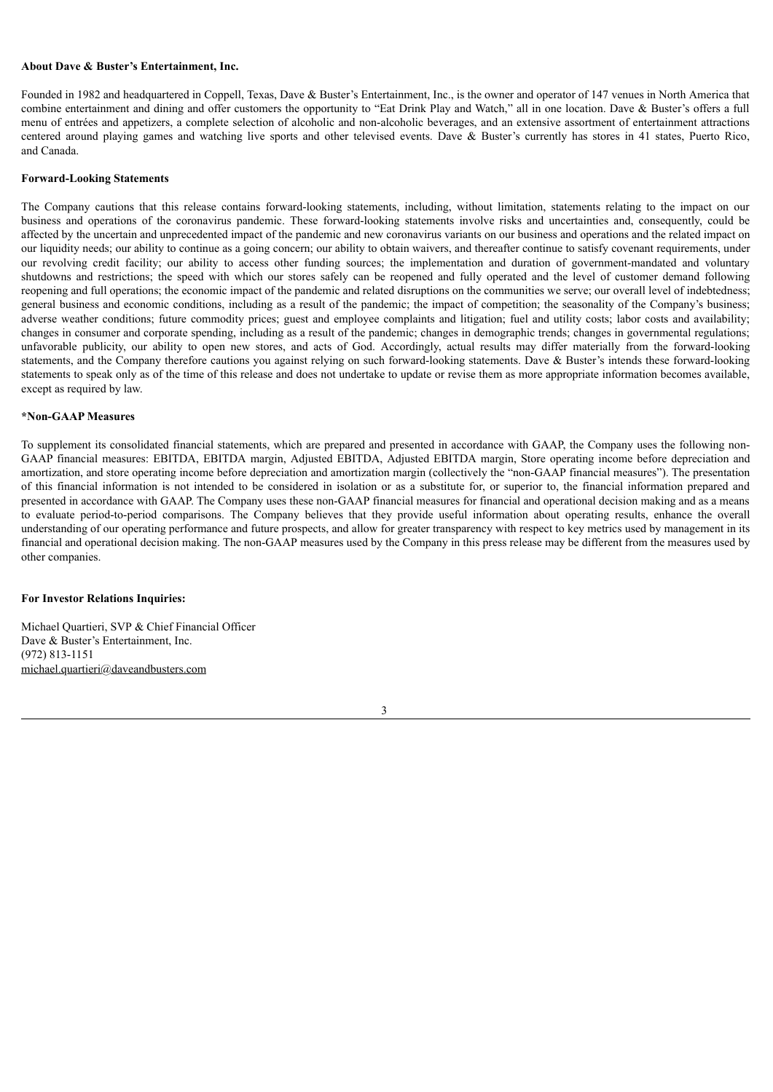### **About Dave & Buster's Entertainment, Inc.**

Founded in 1982 and headquartered in Coppell, Texas, Dave & Buster's Entertainment, Inc., is the owner and operator of 147 venues in North America that combine entertainment and dining and offer customers the opportunity to "Eat Drink Play and Watch," all in one location. Dave & Buster's offers a full menu of entrées and appetizers, a complete selection of alcoholic and non-alcoholic beverages, and an extensive assortment of entertainment attractions centered around playing games and watching live sports and other televised events. Dave & Buster's currently has stores in 41 states, Puerto Rico, and Canada.

### **Forward-Looking Statements**

The Company cautions that this release contains forward-looking statements, including, without limitation, statements relating to the impact on our business and operations of the coronavirus pandemic. These forward-looking statements involve risks and uncertainties and, consequently, could be affected by the uncertain and unprecedented impact of the pandemic and new coronavirus variants on our business and operations and the related impact on our liquidity needs; our ability to continue as a going concern; our ability to obtain waivers, and thereafter continue to satisfy covenant requirements, under our revolving credit facility; our ability to access other funding sources; the implementation and duration of government-mandated and voluntary shutdowns and restrictions; the speed with which our stores safely can be reopened and fully operated and the level of customer demand following reopening and full operations; the economic impact of the pandemic and related disruptions on the communities we serve; our overall level of indebtedness; general business and economic conditions, including as a result of the pandemic; the impact of competition; the seasonality of the Company's business; adverse weather conditions; future commodity prices; guest and employee complaints and litigation; fuel and utility costs; labor costs and availability; changes in consumer and corporate spending, including as a result of the pandemic; changes in demographic trends; changes in governmental regulations; unfavorable publicity, our ability to open new stores, and acts of God. Accordingly, actual results may differ materially from the forward-looking statements, and the Company therefore cautions you against relying on such forward-looking statements. Dave & Buster's intends these forward-looking statements to speak only as of the time of this release and does not undertake to update or revise them as more appropriate information becomes available, except as required by law.

### **\*Non-GAAP Measures**

To supplement its consolidated financial statements, which are prepared and presented in accordance with GAAP, the Company uses the following non-GAAP financial measures: EBITDA, EBITDA margin, Adjusted EBITDA, Adjusted EBITDA margin, Store operating income before depreciation and amortization, and store operating income before depreciation and amortization margin (collectively the "non-GAAP financial measures"). The presentation of this financial information is not intended to be considered in isolation or as a substitute for, or superior to, the financial information prepared and presented in accordance with GAAP. The Company uses these non-GAAP financial measures for financial and operational decision making and as a means to evaluate period-to-period comparisons. The Company believes that they provide useful information about operating results, enhance the overall understanding of our operating performance and future prospects, and allow for greater transparency with respect to key metrics used by management in its financial and operational decision making. The non-GAAP measures used by the Company in this press release may be different from the measures used by other companies.

#### **For Investor Relations Inquiries:**

Michael Quartieri, SVP & Chief Financial Officer Dave & Buster's Entertainment, Inc. (972) 813-1151 michael.quartieri@daveandbusters.com

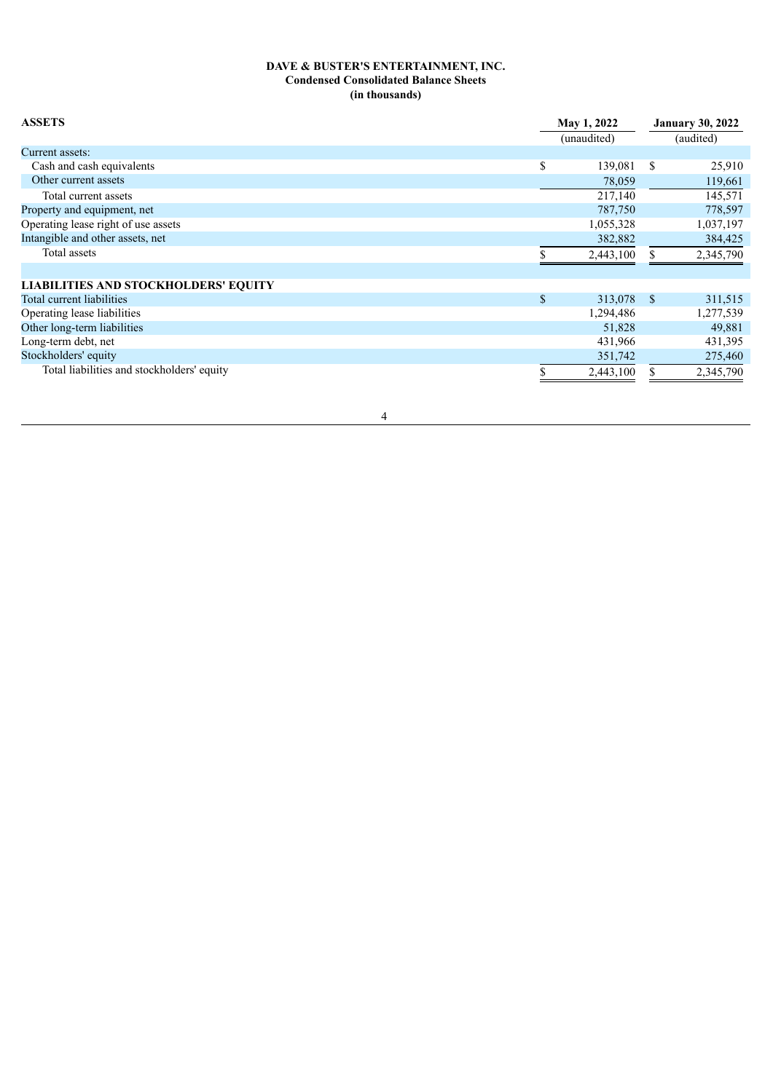# **DAVE & BUSTER'S ENTERTAINMENT, INC. Condensed Consolidated Balance Sheets (in thousands)**

| <b>ASSETS</b>                               |               | May 1, 2022<br>(unaudited) |   | <b>January 30, 2022</b><br>(audited) |  |  |
|---------------------------------------------|---------------|----------------------------|---|--------------------------------------|--|--|
| Current assets:                             |               |                            |   |                                      |  |  |
| Cash and cash equivalents                   | \$            | 139,081                    | S | 25,910                               |  |  |
| Other current assets                        |               | 78,059                     |   | 119,661                              |  |  |
| Total current assets                        |               | 217,140                    |   | 145,571                              |  |  |
| Property and equipment, net                 |               | 787,750                    |   | 778,597                              |  |  |
| Operating lease right of use assets         |               | 1,055,328                  |   | 1,037,197                            |  |  |
| Intangible and other assets, net            |               | 382,882                    |   | 384,425                              |  |  |
| Total assets                                |               | 2,443,100                  |   | 2,345,790                            |  |  |
| <b>LIABILITIES AND STOCKHOLDERS' EQUITY</b> |               |                            |   |                                      |  |  |
| Total current liabilities                   | $\mathcal{S}$ | 313,078 \$                 |   | 311,515                              |  |  |
| Operating lease liabilities                 |               | 1,294,486                  |   | 1,277,539                            |  |  |
| Other long-term liabilities                 |               | 51,828                     |   | 49,881                               |  |  |
| Long-term debt, net                         |               | 431,966                    |   | 431,395                              |  |  |
| Stockholders' equity                        |               | 351,742                    |   | 275,460                              |  |  |
| Total liabilities and stockholders' equity  |               | 2,443,100                  |   | 2,345,790                            |  |  |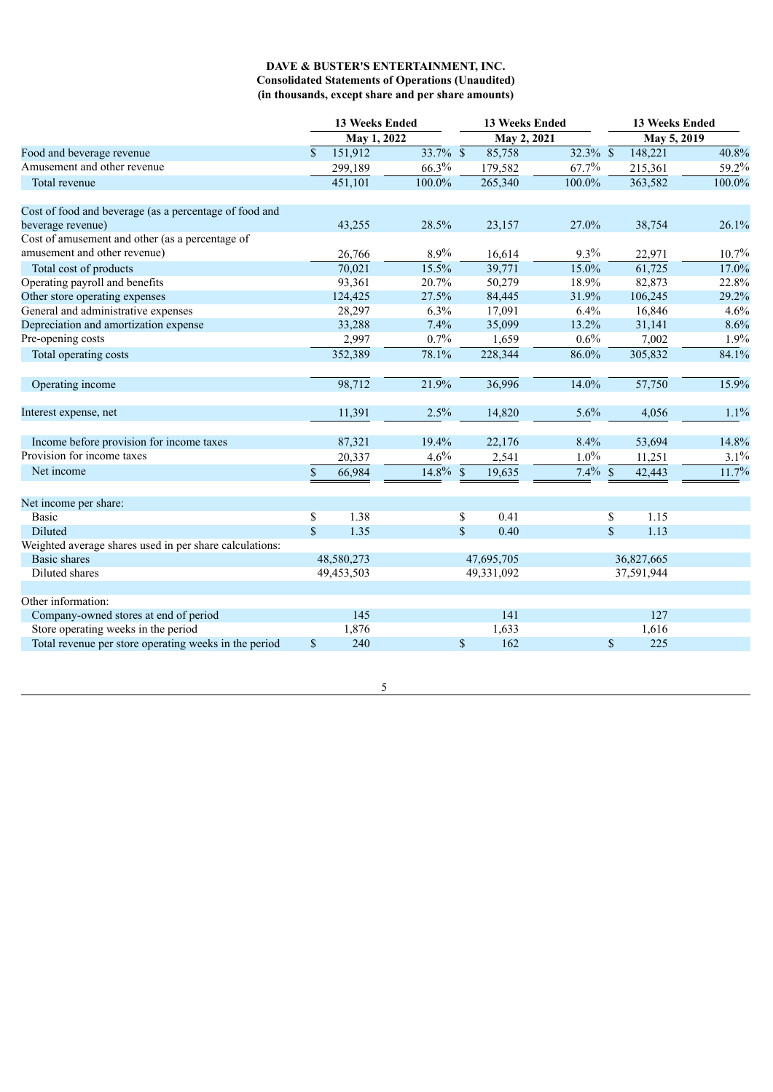# **DAVE & BUSTER'S ENTERTAINMENT, INC. Consolidated Statements of Operations (Unaudited) (in thousands, except share and per share amounts)**

|                                                         | <b>13 Weeks Ended</b> |             |             |              | 13 Weeks Ended |            |             | <b>13 Weeks Ended</b> |                     |  |
|---------------------------------------------------------|-----------------------|-------------|-------------|--------------|----------------|------------|-------------|-----------------------|---------------------|--|
|                                                         |                       | May 1, 2022 |             |              | May 2, 2021    |            |             | May 5, 2019           |                     |  |
| Food and beverage revenue                               | $\mathbf{\$}$         | 151,912     | 33.7% \$    |              | 85,758         | 32.3% \$   |             | 148,221               | 40.8%               |  |
| Amusement and other revenue                             |                       | 299,189     | 66.3%       |              | 179,582        | 67.7%      |             | 215,361               | 59.2%               |  |
| Total revenue                                           |                       | 451,101     | 100.0%      |              | 265,340        | 100.0%     |             | 363,582               | $100.0\%$           |  |
| Cost of food and beverage (as a percentage of food and  |                       |             |             |              |                |            |             |                       |                     |  |
| beverage revenue)                                       |                       | 43,255      | 28.5%       |              | 23,157         | 27.0%      |             | 38,754                | 26.1%               |  |
| Cost of amusement and other (as a percentage of         |                       |             |             |              |                |            |             |                       |                     |  |
| amusement and other revenue)                            |                       | 26,766      | 8.9%        |              | 16,614         | 9.3%       |             | 22,971                | 10.7%               |  |
| Total cost of products                                  |                       | 70,021      | 15.5%       |              | 39,771         | 15.0%      |             | 61,725                | 17.0%               |  |
| Operating payroll and benefits                          |                       | 93,361      | 20.7%       |              | 50,279         | 18.9%      |             | 82,873                | 22.8%               |  |
| Other store operating expenses                          |                       | 124,425     | 27.5%       |              | 84,445         | 31.9%      |             | 106,245               | 29.2%               |  |
| General and administrative expenses                     |                       | 28,297      | 6.3%        |              | 17,091         | 6.4%       |             | 16,846                | 4.6%                |  |
| Depreciation and amortization expense                   |                       | 33,288      | 7.4%        |              | 35,099         | 13.2%      |             | 31,141                | 8.6%                |  |
| Pre-opening costs                                       |                       | 2,997       | 0.7%        |              | 1,659          | 0.6%       |             | 7,002                 | 1.9%                |  |
| Total operating costs                                   |                       | 352,389     | 78.1%       |              | 228,344        | $86.0\%$   |             | 305,832               | 84.1%               |  |
| Operating income                                        |                       | 98,712      | 21.9%       |              | 36,996         | 14.0%      |             | 57,750                | 15.9%               |  |
| Interest expense, net                                   |                       | 11,391      | 2.5%        |              | 14,820         | 5.6%       |             | 4,056                 | 1.1%                |  |
| Income before provision for income taxes                |                       | 87,321      | 19.4%       |              | 22,176         | 8.4%       |             | 53,694                | 14.8%               |  |
| Provision for income taxes                              |                       | 20,337      | 4.6%        |              | 2,541          | $1.0\%$    |             | 11,251                | 3.1%                |  |
| Net income                                              | \$                    | 66,984      | $14.8\%$ \$ |              | 19,635         | $7.4\%$ \$ |             | 42,443                | $\overline{11.7}$ % |  |
| Net income per share:                                   |                       |             |             |              |                |            |             |                       |                     |  |
| <b>Basic</b>                                            | \$                    | 1.38        |             | \$           | 0.41           |            | \$          | 1.15                  |                     |  |
| Diluted                                                 | $\mathbb{S}$          | 1.35        |             | \$           | 0.40           |            | $\sqrt{\ }$ | 1.13                  |                     |  |
| Weighted average shares used in per share calculations: |                       |             |             |              |                |            |             |                       |                     |  |
| Basic shares                                            |                       | 48,580,273  |             |              | 47,695,705     |            |             | 36,827,665            |                     |  |
| Diluted shares                                          |                       | 49,453,503  |             |              | 49,331,092     |            |             | 37,591,944            |                     |  |
| Other information:                                      |                       |             |             |              |                |            |             |                       |                     |  |
| Company-owned stores at end of period                   |                       | 145         |             |              | 141            |            |             | 127                   |                     |  |
| Store operating weeks in the period                     |                       | 1,876       |             |              | 1,633          |            |             | 1,616                 |                     |  |
| Total revenue per store operating weeks in the period   | $\mathbb{S}$          | 240         |             | $\mathbb{S}$ | 162            |            | $\mathbf S$ | 225                   |                     |  |